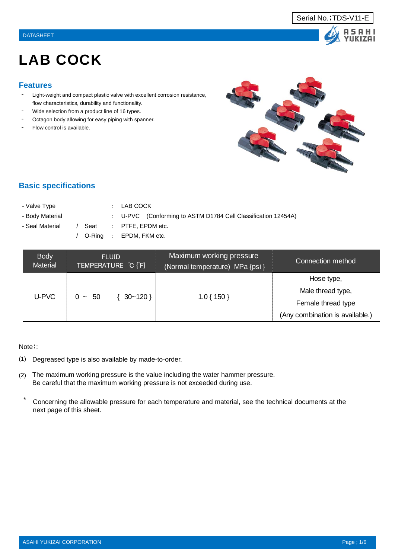



# LAB COCK

#### **Features**

- Light-weight and compact plastic valve with excellent corrosion resistance, flow characteristics, durability and functionality.
- Wide selection from a product line of 16 types.
- Octagon body allowing for easy piping with spanner.
- Flow control is available.



# **Basic specifications**

- Valve Type : LAB COCK
- 
- 

- Body Material : U-PVC (Conforming to ASTM D1784 Cell Classification 12454A)

- Seal Material / Seat : PTFE, EPDM etc.

/ O-Ring : EPDM, FKM etc.

| <b>Body</b><br><b>Material</b> | <b>FLUID</b><br>TEMPERATURE C [F] | Maximum working pressure<br>(Normal temperature) MPa {psi } | Connection method               |  |  |
|--------------------------------|-----------------------------------|-------------------------------------------------------------|---------------------------------|--|--|
| U-PVC                          |                                   |                                                             | Hose type,                      |  |  |
|                                | $30 - 120$ }<br>$0 \sim 50$       |                                                             | Male thread type,               |  |  |
|                                |                                   | $1.0\{150\}$                                                | Female thread type              |  |  |
|                                |                                   |                                                             | (Any combination is available.) |  |  |

#### Note::

- (1) Degreased type is also available by made-to-order.
- (2) The maximum working pressure is the value including the water hammer pressure. Be careful that the maximum working pressure is not exceeded during use.
- \* Concerning the allowable pressure for each temperature and material, see the technical documents at the next page of this sheet.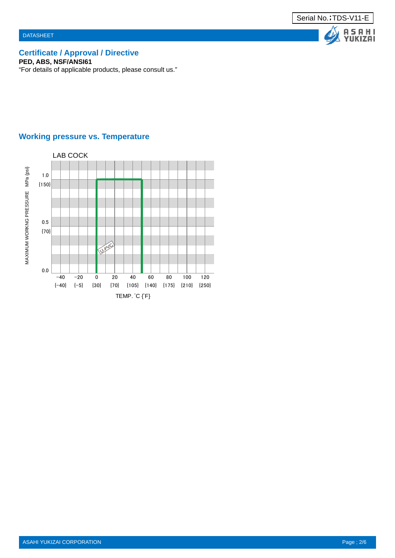

# **Certificate / Approval / Directive**

**PED, ABS, NSF/ANSI61**

"For details of applicable products, please consult us."

# **Working pressure vs. Temperature**

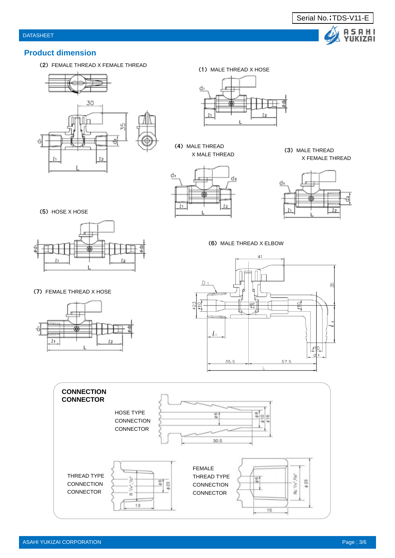

#### **Product dimension**

(2) FEMALE THREAD X FEMALE THREAD





(4) MALE THREAD







(6) MALE THREAD X ELBOW





(5) HOSE X HOSE



#### (7) FEMALE THREAD X HOSE

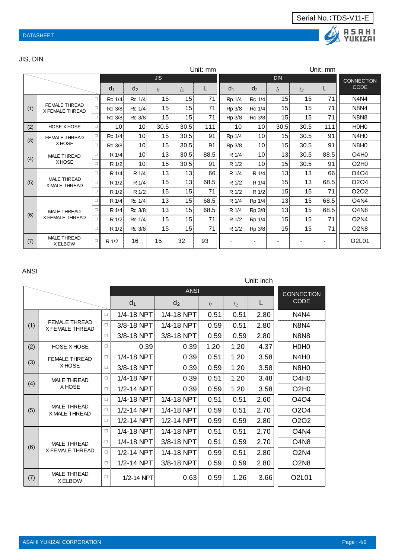

# JIS, DIN

| Unit: mm |                                            |        |                 |                 |      |                 |      |            |                 |                 |      | Unit: mm          |                               |
|----------|--------------------------------------------|--------|-----------------|-----------------|------|-----------------|------|------------|-----------------|-----------------|------|-------------------|-------------------------------|
|          |                                            |        | <b>JIS</b>      |                 |      |                 |      | <b>DIN</b> |                 |                 |      | <b>CONNECTION</b> |                               |
|          |                                            |        | d <sub>1</sub>  | d <sub>2</sub>  | lı   | $l_{2}$         | L    | $d_1$      | $d_2$           | l1              | l2   |                   | <b>CODE</b>                   |
|          | <b>FEMALE THREAD</b><br>X FEMALE THREAD    | 0      | Rc 1/4          | Rc 1/4          | 15   | 15              | 71   | Rp 1/4     | Rc 1/4          | 15 <sup>1</sup> | 15   | 71                | N4N4                          |
| (1)      |                                            | п.     | Rc 3/8          | Rc 1/4          | 15   | 15 <sup>1</sup> | 71   | Rp 3/8     | Rc 1/4          | 15              | 15   | 71                | <b>N8N4</b>                   |
|          |                                            | 0      | Rc 3/8          | Rc 3/8          | 15   | 15              | 71   | Rp 3/8     | Rc 3/8          | 15              | 15   | 71                | <b>N8N8</b>                   |
| (2)      | <b>HOSE X HOSE</b>                         | П.     | 10              | 10              | 30.5 | 30.5            | 111  | 10         | 10 <sup>1</sup> | 30.5            | 30.5 | 111               | H <sub>0</sub> H <sub>0</sub> |
| (3)      | <b>FEMALE THREAD</b>                       | п      | Rc 1/4          | 10 <sup>1</sup> | 15   | 30.5            | 91   | Rp 1/4     | 10              | 15 <sup>1</sup> | 30.5 | 91                | N <sub>4</sub> H <sub>0</sub> |
|          | X HOSE                                     | 0      | Rc 3/8          | 10              | 15   | 30.5            | 91   | Rp 3/8     | 10 <sup>1</sup> | 15              | 30.5 | 91                | N8H <sub>0</sub>              |
| (4)      | <b>MALE THREAD</b><br>X HOSE               | □.     | R 1/4           | 10              | 13   | 30.5            | 88.5 | R 1/4      | 10 <sup>1</sup> | 13 <sup>1</sup> | 30.5 | 88.5              | O4H <sub>0</sub>              |
|          |                                            | $\Box$ | R 1/2           | 10              | 15   | 30.5            | 91   | R 1/2      | 10 <sup>1</sup> | 15              | 30.5 | 91                | O2H0                          |
|          | <b>MALE THREAD</b><br><b>X MALE THREAD</b> | 0      | $R \frac{1}{4}$ | R 1/4           | 13   | 13              | 66   | R 1/4      | R 1/4           | 13              | 13   | 66                | O4O4                          |
| (5)      |                                            | п      | R 1/2           | R 1/4           | 15   | 13 <sup>1</sup> | 68.5 | R 1/2      | R 1/4           | 15 <sup>1</sup> | 13   | 68.5              | O <sub>2</sub> O <sub>4</sub> |
|          |                                            | П.     | R 1/2           | R 1/2           | 15   | 15              | 71   | R 1/2      | R 1/2           | 15              | 15   | 71                | 0202                          |
|          |                                            | □      | R 1/4           | Rc 1/4          | 13   | 15              | 68.5 | R 1/4      | Rp 1/4          | 13              | 15   | 68.5              | O4N4                          |
|          | <b>MALE THREAD</b>                         | п      | R 1/4           | Rc 3/8          | 13   | 15              | 68.5 | R 1/4      | Rp 3/8          | 13              | 15   | 68.5              | O <sub>4</sub> N <sub>8</sub> |
| (6)      | X FEMALE THREAD                            | П.     | R 1/2           | Rc 1/4          | 15   | 15              | 71   | R 1/2      | Rp 1/4          | 15              | 15   | 71                | O2N4                          |
|          |                                            | 0      | R 1/2           | Rc 3/8          | 15   | 15              | 71   | R 1/2      | Rp 3/8          | 15              | 15   | 71                | <b>O2N8</b>                   |
| (7)      | <b>MALE THREAD</b><br>X ELBOW              | □      | R 1/2           | 16              | 15   | 32              | 93   |            |                 |                 |      |                   | O2L01                         |

#### ANSI

|     | Unit: inch                                 |              |                |                   |       |       |      |                               |  |
|-----|--------------------------------------------|--------------|----------------|-------------------|-------|-------|------|-------------------------------|--|
|     |                                            |              |                | <b>CONNECTION</b> |       |       |      |                               |  |
|     |                                            |              | d <sub>1</sub> | d <sub>2</sub>    | $l_1$ | $l$ 2 | L    | <b>CODE</b>                   |  |
|     | <b>FEMALE THREAD</b><br>X FEMALE THREAD    | □            | 1/4-18 NPT     | 1/4-18 NPT        | 0.51  | 0.51  | 2.80 | <b>N4N4</b>                   |  |
| (1) |                                            | $\mathbf{L}$ | 3/8-18 NPT     | 1/4-18 NPT        | 0.59  | 0.51  | 2.80 | <b>N8N4</b>                   |  |
|     |                                            | Ω            | 3/8-18 NPT     | 3/8-18 NPT        | 0.59  | 0.59  | 2.80 | <b>N8N8</b>                   |  |
| (2) | <b>HOSE X HOSE</b>                         | п            | 0.39           | 0.39              | 1.20  | 1.20  | 4.37 | H <sub>0</sub> H <sub>0</sub> |  |
| (3) | <b>FEMALE THREAD</b><br>X HOSE             | □            | 1/4-18 NPT     | 0.39              | 0.51  | 1.20  | 3.58 | N4H <sub>0</sub>              |  |
|     |                                            | $\Box$       | 3/8-18 NPT     | 0.39              | 0.59  | 1.20  | 3.58 | N8H <sub>0</sub>              |  |
|     | <b>MALE THREAD</b>                         | □            | 1/4-18 NPT     | 0.39              | 0.51  | 1.20  | 3.48 | O <sub>4</sub> H <sub>0</sub> |  |
| (4) | X HOSE                                     | □            | 1/2-14 NPT     | 0.39              | 0.59  | 1.20  | 3.58 | O2H0                          |  |
|     | <b>MALE THREAD</b><br><b>X MALE THREAD</b> | □            | 1/4-18 NPT     | 1/4-18 NPT        | 0.51  | 0.51  | 2.60 | <b>O4O4</b>                   |  |
| (5) |                                            | $\mathbf{L}$ | 1/2-14 NPT     | 1/4-18 NPT        | 0.59  | 0.51  | 2.70 | <b>0204</b>                   |  |
|     |                                            | □            | 1/2-14 NPT     | 1/2-14 NPT        | 0.59  | 0.59  | 2.80 | O <sub>2</sub> O <sub>2</sub> |  |
|     |                                            | □            | 1/4-18 NPT     | 1/4-18 NPT        | 0.51  | 0.51  | 2.70 | <b>O4N4</b>                   |  |
|     | <b>MALE THREAD</b>                         | □            | 1/4-18 NPT     | 3/8-18 NPT        | 0.51  | 0.59  | 2.70 | O <sub>4</sub> N <sub>8</sub> |  |
| (6) | X FEMALE THREAD                            | п            | 1/2-14 NPT     | 1/4-18 NPT        | 0.59  | 0.51  | 2.80 | <b>O2N4</b>                   |  |
|     |                                            | Ω            | 1/2-14 NPT     | 3/8-18 NPT        | 0.59  | 0.59  | 2.80 | <b>O2N8</b>                   |  |
| (7) | <b>MALE THREAD</b><br><b>XELBOW</b>        | □            | 1/2-14 NPT     | 0.63              | 0.59  | 1.26  | 3.66 | O2L01                         |  |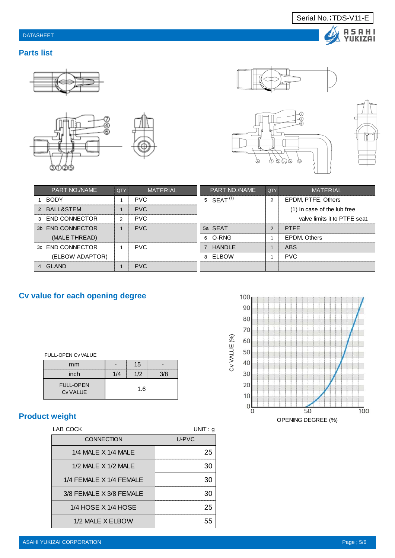# DATASHEET

### **Parts list**







Serial No.; TDS-V11-E





A S A H I<br>YUKIZAI

| <b>PART NO./NAME</b> | <b>OTY</b>    | <b>MATERIAL</b> |                | <b>PART NO./NAME</b> | QTY            | <b>MATERIAL</b>               |
|----------------------|---------------|-----------------|----------------|----------------------|----------------|-------------------------------|
| 1 BODY               |               | <b>PVC</b>      |                | 5 SFAT $(1)$         | $\overline{2}$ | EPDM, PTFE, Others            |
| 2 BALL&STEM          |               | <b>PVC</b>      |                |                      |                | (1) In case of the lub free   |
| 3 END CONNECTOR      | $\mathcal{P}$ | <b>PVC</b>      |                |                      |                | valve limits it to PTFE seat. |
| 3b END CONNECTOR     |               | <b>PVC</b>      |                | 5a SEAT              | $\mathcal{P}$  | <b>PTFF</b>                   |
| (MALE THREAD)        |               |                 |                | 6 O-RNG              |                | <b>EPDM. Others</b>           |
| 3c END CONNECTOR     |               | <b>PVC</b>      | $\overline{7}$ | HANDI F              |                | ABS                           |
| (ELBOW ADAPTOR)      |               |                 | 8              | ELBOW                |                | <b>PVC</b>                    |
| 4 GIAND              |               | <b>PVC</b>      |                |                      |                |                               |

# **Cv value for each opening degree**

| <b>FULL-OPEN CV VALUE</b>    |     |     |     |  |  |  |  |
|------------------------------|-----|-----|-----|--|--|--|--|
| mm                           |     | 15  |     |  |  |  |  |
| inch                         | 1/4 | 1/2 | 3/8 |  |  |  |  |
| <b>FULL-OPEN</b><br>Cy VALUE | 1.6 |     |     |  |  |  |  |

# **Product weight**

| LAB COCK                  | UNIT: q |
|---------------------------|---------|
| <b>CONNECTION</b>         | U-PVC   |
| $1/4$ MALE $X$ $1/4$ MALE | 25      |
| 1/2 MALE X 1/2 MALE       | 30      |
| 1/4 FEMALE X 1/4 FEMALE   | 30      |
| 3/8 FEMALE X 3/8 FEMALE   | 30      |
| 1/4 HOSE X 1/4 HOSE       | 25      |
| 1/2 MALE X ELBOW          | 55      |